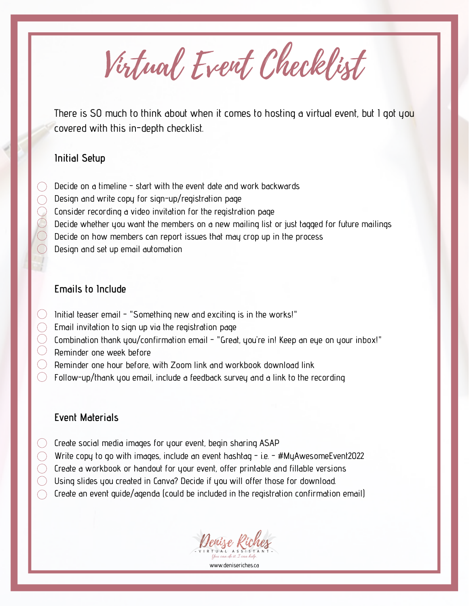Virtual Event Checklist

There is SO much to think about when it comes to hosting a virtual event, but I got you covered with this in-depth checklist.

#### **Initial Setup**

- Decide on a timeline start with the event date and work backwards
- Design and write copy for sign-up/registration page
- Consider recording a video invitation for the registration page
- Decide whether you want the members on a new mailing list or just tagged for future mailings
- Decide on how members can report issues that may crop up in the process
- Design and set up email automation

## **Emails to Include**

- Initial teaser email "Something new and exciting is in the works!"
- Email invitation to sign up via the registration page
- Combination thank you/confirmation email "Great, you're in! Keep an eye on your inbox!"
- Reminder one week before
- $)$  -Reminder one hour before, with Zoom link and workbook download link
- $\Box$  Follow-up/thank you email, include a feedback survey and a link to the recording

## **Event Materials**

- $\circlearrowright$  Create social media images for your event, begin sharing ASAP
- $\bigcirc$  . Write copy to go with images, include an event hashtag i.e. #MyAwesomeEvent2022.
- $\triangleright$  Create a workbook or handout for your event, offer printable and fillable versions
- $\cup$  Using slides you created in Canva? Decide if you will offer those for download.
- $\bigcirc$  Create an event quide/agenda (could be included in the registration confirmation email)

Tenize Ri

www.deniseriches.ca